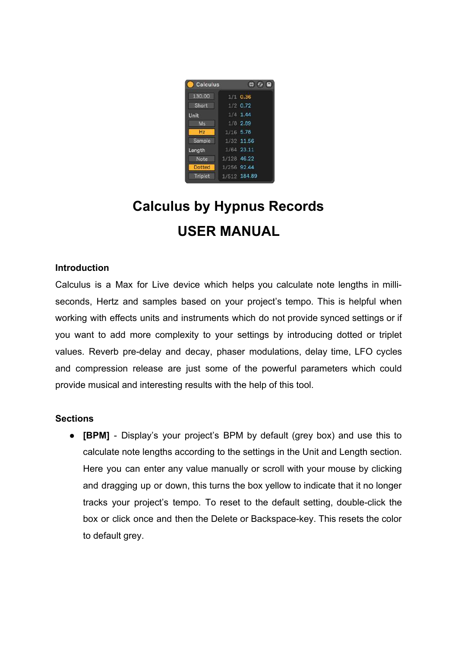| <b>Calculus</b> |             |              |
|-----------------|-------------|--------------|
| 130.00          |             | $1/1$ 0.36   |
| Short           |             | $1/2$ 0.72   |
| Unit            |             | $1/4$ 1.44   |
| Ms              |             | $1/8$ 2.89   |
| Hz              | $1/16$ 5.78 |              |
| Sample          |             | 1/32 11.56   |
| Length          |             | 1/64 23.11   |
| <b>Note</b>     | 1/128 46.22 |              |
| <b>Dotted</b>   | 1/256 92.44 |              |
| Triplet         |             | 1/512 184.89 |

## **Calculus by Hypnus Records USER MANUAL**

## **Introduction**

Calculus is a Max for Live device which helps you calculate note lengths in milliseconds, Hertz and samples based on your project's tempo. This is helpful when working with effects units and instruments which do not provide synced settings or if you want to add more complexity to your settings by introducing dotted or triplet values. Reverb pre-delay and decay, phaser modulations, delay time, LFO cycles and compression release are just some of the powerful parameters which could provide musical and interesting results with the help of this tool.

## **Sections**

● **[BPM]** - Display's your project's BPM by default (grey box) and use this to calculate note lengths according to the settings in the Unit and Length section. Here you can enter any value manually or scroll with your mouse by clicking and dragging up or down, this turns the box yellow to indicate that it no longer tracks your project's tempo. To reset to the default setting, double-click the box or click once and then the Delete or Backspace-key. This resets the color to default grey.